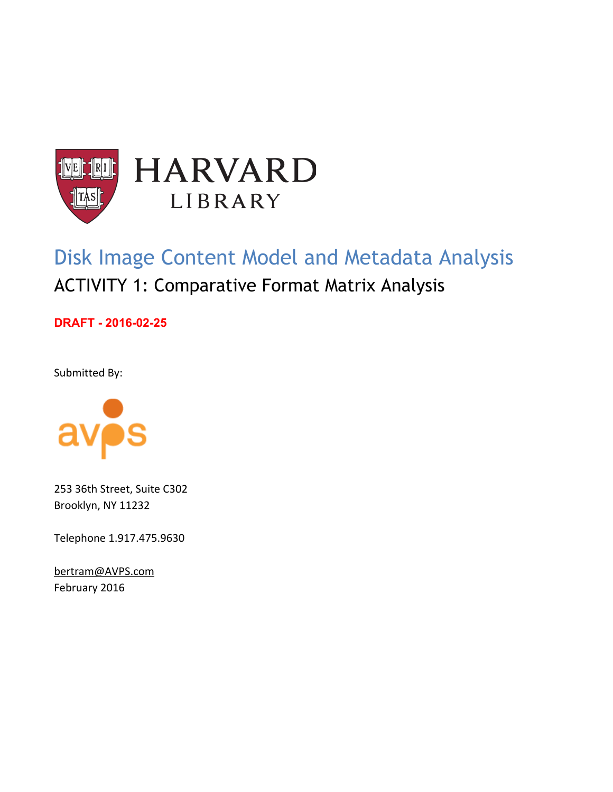

# Disk Image Content Model and Metadata Analysis ACTIVITY 1: Comparative Format Matrix Analysis

**DRAFT** - 2016-02-25

Submitted By:



253 36th Street, Suite C302 Brooklyn, NY 11232

Telephone 1.917.475.9630

[bertram@AVPS.com](mailto:bertram@avpreserve.com) February 2016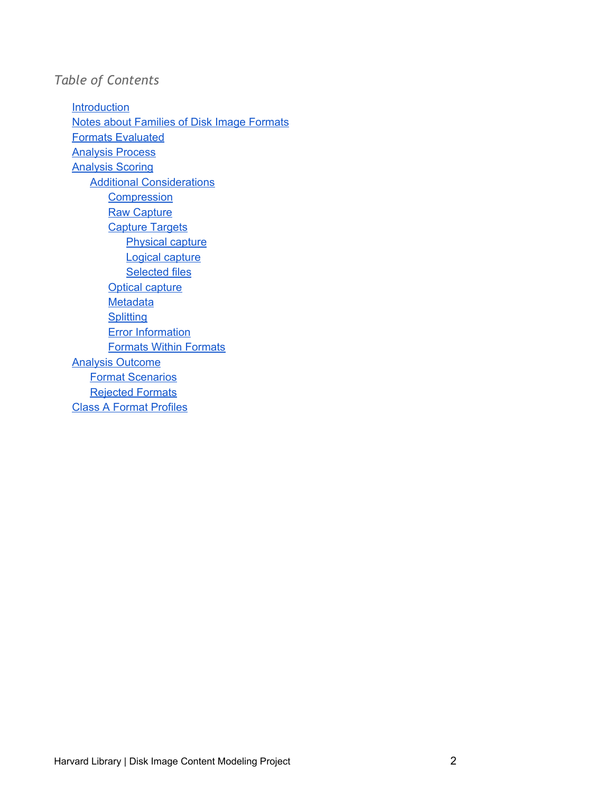### *Table of Contents*

[Introduction](#page-2-0) Notes about [Families](#page-2-1) of Disk Image Formats Formats [Evaluated](#page-3-0) [Analysis](#page-5-0) Process [Analysis](#page-7-0) Scoring Additional [Considerations](#page-8-0) **[Compression](#page-8-1) Raw [Capture](#page-9-0)** [Capture](#page-9-1) Targets [Physical](#page-9-2) capture Logical [capture](#page-9-3) **[Selected](#page-9-4) files** Optical [capture](#page-9-5) **[Metadata](#page-10-0) [Splitting](#page-10-1) Error [Information](#page-10-2)** [Formats](#page-10-3) Within Formats Analysis [Outcome](#page-11-0) Format [Scenarios](#page-11-1) [Rejected](#page-12-0) Formats Class A Format [Profiles](#page-13-0)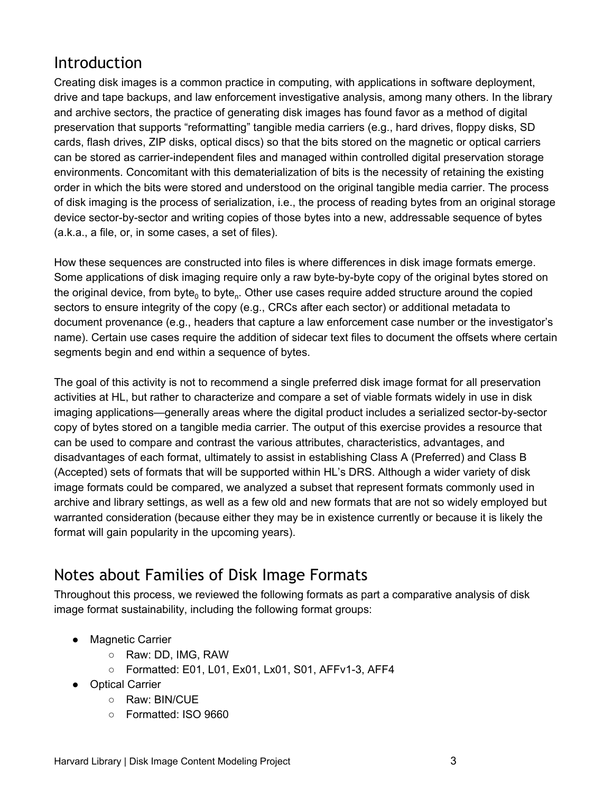## <span id="page-2-0"></span>Introduction

Creating disk images is a common practice in computing, with applications in software deployment, drive and tape backups, and law enforcement investigative analysis, among many others. In the library and archive sectors, the practice of generating disk images has found favor as a method of digital preservation that supports "reformatting" tangible media carriers (e.g., hard drives, floppy disks, SD cards, flash drives, ZIP disks, optical discs) so that the bits stored on the magnetic or optical carriers can be stored as carrier-independent files and managed within controlled digital preservation storage environments. Concomitant with this dematerialization of bits is the necessity of retaining the existing order in which the bits were stored and understood on the original tangible media carrier. The process of disk imaging is the process of serialization, i.e., the process of reading bytes from an original storage device sector-by-sector and writing copies of those bytes into a new, addressable sequence of bytes (a.k.a., a file, or, in some cases, a set of files).

How these sequences are constructed into files is where differences in disk image formats emerge. Some applications of disk imaging require only a raw byte-by-byte copy of the original bytes stored on the original device, from byte<sub>0</sub> to byte<sub>n</sub>. Other use cases require added structure around the copied sectors to ensure integrity of the copy (e.g., CRCs after each sector) or additional metadata to document provenance (e.g., headers that capture a law enforcement case number or the investigator's name). Certain use cases require the addition of sidecar text files to document the offsets where certain segments begin and end within a sequence of bytes.

The goal of this activity is not to recommend a single preferred disk image format for all preservation activities at HL, but rather to characterize and compare a set of viable formats widely in use in disk imaging applications—generally areas where the digital product includes a serialized sector-by-sector copy of bytes stored on a tangible media carrier. The output of this exercise provides a resource that can be used to compare and contrast the various attributes, characteristics, advantages, and disadvantages of each format, ultimately to assist in establishing Class A (Preferred) and Class B (Accepted) sets of formats that will be supported within HL's DRS. Although a wider variety of disk image formats could be compared, we analyzed a subset that represent formats commonly used in archive and library settings, as well as a few old and new formats that are not so widely employed but warranted consideration (because either they may be in existence currently or because it is likely the format will gain popularity in the upcoming years).

## <span id="page-2-1"></span>Notes about Families of Disk Image Formats

Throughout this process, we reviewed the following formats as part a comparative analysis of disk image format sustainability, including the following format groups:

- Magnetic Carrier
	- Raw: DD, IMG, RAW
	- Formatted: E01, L01, Ex01, Lx01, S01, AFFv1-3, AFF4
- Optical Carrier
	- Raw: BIN/CUE
	- Formatted: ISO 9660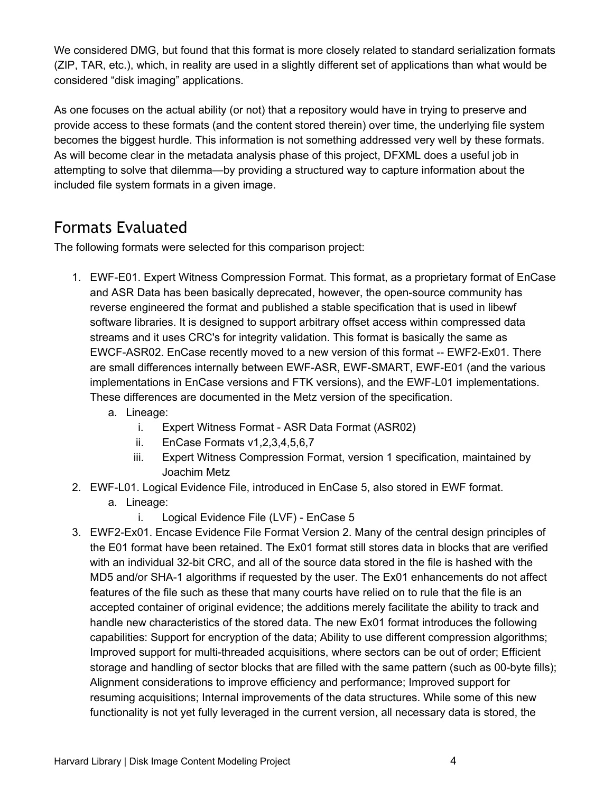We considered DMG, but found that this format is more closely related to standard serialization formats (ZIP, TAR, etc.), which, in reality are used in a slightly different set of applications than what would be considered "disk imaging" applications.

As one focuses on the actual ability (or not) that a repository would have in trying to preserve and provide access to these formats (and the content stored therein) over time, the underlying file system becomes the biggest hurdle. This information is not something addressed very well by these formats. As will become clear in the metadata analysis phase of this project, DFXML does a useful job in attempting to solve that dilemma—by providing a structured way to capture information about the included file system formats in a given image.

## <span id="page-3-0"></span>Formats Evaluated

The following formats were selected for this comparison project:

- 1. EWF-E01. Expert Witness Compression Format. This format, as a proprietary format of EnCase and ASR Data has been basically deprecated, however, the open-source community has reverse engineered the format and published a stable specification that is used in libewf software libraries. It is designed to support arbitrary offset access within compressed data streams and it uses CRC's for integrity validation. This format is basically the same as EWCF-ASR02. EnCase recently moved to a new version of this format -- EWF2-Ex01. There are small differences internally between EWF-ASR, EWF-SMART, EWF-E01 (and the various implementations in EnCase versions and FTK versions), and the EWF-L01 implementations. These differences are documented in the Metz version of the specification.
	- a. Lineage:
		- i. Expert Witness Format ASR Data Format (ASR02)
		- ii. EnCase Formats v1,2,3,4,5,6,7
		- iii. Expert Witness Compression Format, version 1 specification, maintained by Joachim Metz
- 2. EWFL01. Logical Evidence File, introduced in EnCase 5, also stored in EWF format.
	- a. Lineage:
		- i. Logical Evidence File (LVF) EnCase 5
- 3. EWF2Ex01. Encase Evidence File Format Version 2. Many of the central design principles of the E01 format have been retained. The Ex01 format still stores data in blocks that are verified with an individual 32-bit CRC, and all of the source data stored in the file is hashed with the MD5 and/or SHA-1 algorithms if requested by the user. The Ex01 enhancements do not affect features of the file such as these that many courts have relied on to rule that the file is an accepted container of original evidence; the additions merely facilitate the ability to track and handle new characteristics of the stored data. The new Ex01 format introduces the following capabilities: Support for encryption of the data; Ability to use different compression algorithms; Improved support for multi-threaded acquisitions, where sectors can be out of order; Efficient storage and handling of sector blocks that are filled with the same pattern (such as 00-byte fills); Alignment considerations to improve efficiency and performance; Improved support for resuming acquisitions; Internal improvements of the data structures. While some of this new functionality is not yet fully leveraged in the current version, all necessary data is stored, the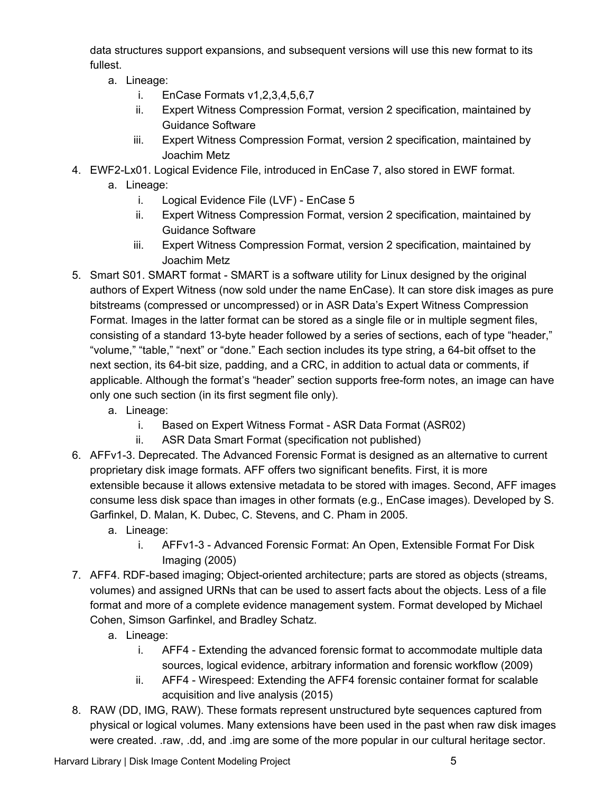data structures support expansions, and subsequent versions will use this new format to its fullest.

- a. Lineage:
	- i. EnCase Formats v1,2,3,4,5,6,7
	- ii. Expert Witness Compression Format, version 2 specification, maintained by Guidance Software
	- iii. Expert Witness Compression Format, version 2 specification, maintained by Joachim Metz
- 4. EWF2Lx01. Logical Evidence File, introduced in EnCase 7, also stored in EWF format.
	- a. Lineage:
		- i. Logical Evidence File (LVF) EnCase 5
		- ii. Expert Witness Compression Format, version 2 specification, maintained by Guidance Software
		- iii. Expert Witness Compression Format, version 2 specification, maintained by Joachim Metz
- 5. Smart S01. SMART format SMART is a software utility for Linux designed by the original authors of Expert Witness (now sold under the name EnCase). It can store disk images as pure bitstreams (compressed or uncompressed) or in ASR Data's Expert Witness Compression Format. Images in the latter format can be stored as a single file or in multiple segment files, consisting of a standard 13-byte header followed by a series of sections, each of type "header," "volume," "table," "next" or "done." Each section includes its type string, a 64-bit offset to the next section, its 64-bit size, padding, and a CRC, in addition to actual data or comments, if applicable. Although the format's "header" section supports free-form notes, an image can have only one such section (in its first segment file only).
	- a. Lineage:
		- i. Based on Expert Witness Format ASR Data Format (ASR02)
		- ii. ASR Data Smart Format (specification not published)
- 6. AFFv1-3. Deprecated. The Advanced Forensic Format is designed as an alternative to current proprietary disk image formats. AFF offers two significant benefits. First, it is more extensible because it allows extensive metadata to be stored with images. Second, AFF images consume less disk space than images in other formats (e.g., EnCase images). Developed by S. Garfinkel, D. Malan, K. Dubec, C. Stevens, and C. Pham in 2005.
	- a. Lineage:
		- i. AFFv1-3 Advanced Forensic Format: An Open, Extensible Format For Disk Imaging (2005)
- 7. AFF4. RDF-based imaging; Object-oriented architecture; parts are stored as objects (streams, volumes) and assigned URNs that can be used to assert facts about the objects. Less of a file format and more of a complete evidence management system. Format developed by Michael Cohen, Simson Garfinkel, and Bradley Schatz.
	- a. Lineage:
		- i. AFF4 Extending the advanced forensic format to accommodate multiple data sources, logical evidence, arbitrary information and forensic workflow (2009)
		- ii. AFF4 Wirespeed: Extending the AFF4 forensic container format for scalable acquisition and live analysis (2015)
- 8. RAW (DD, IMG, RAW). These formats represent unstructured byte sequences captured from physical or logical volumes. Many extensions have been used in the past when raw disk images were created. .raw, .dd, and .img are some of the more popular in our cultural heritage sector.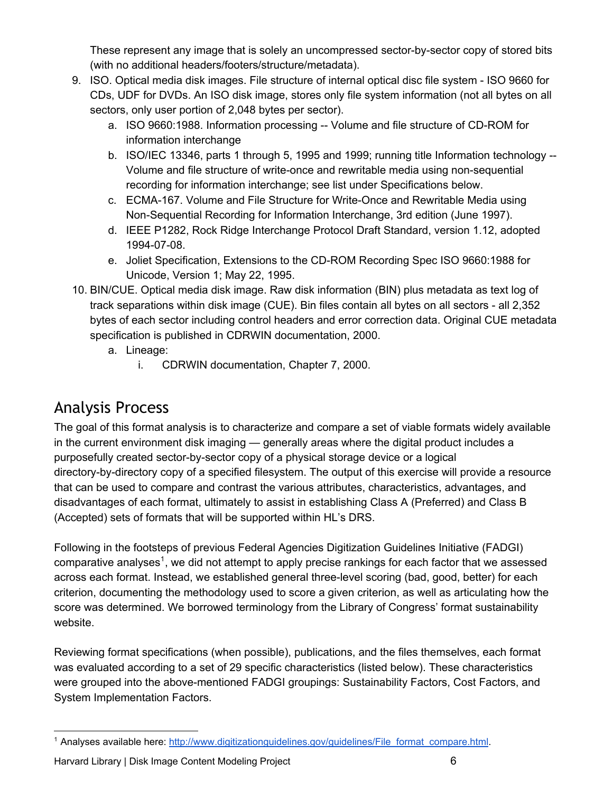These represent any image that is solely an uncompressed sector-by-sector copy of stored bits (with no additional headers/footers/structure/metadata).

- 9. ISO. Optical media disk images. File structure of internal optical disc file system ISO 9660 for CDs, UDF for DVDs. An ISO disk image, stores only file system information (not all bytes on all sectors, only user portion of 2,048 bytes per sector).
	- a. ISO 9660:1988. Information processing -- Volume and file structure of CD-ROM for information interchange
	- b. ISO/IEC 13346, parts 1 through 5, 1995 and 1999; running title Information technology --Volume and file structure of write-once and rewritable media using non-sequential recording for information interchange; see list under Specifications below.
	- c. ECMA-167. Volume and File Structure for Write-Once and Rewritable Media using Non-Sequential Recording for Information Interchange, 3rd edition (June 1997).
	- d. IEEE P1282, Rock Ridge Interchange Protocol Draft Standard, version 1.12, adopted 1994-07-08.
	- e. Joliet Specification, Extensions to the CD-ROM Recording Spec ISO 9660:1988 for Unicode, Version 1; May 22, 1995.
- 10. BIN/CUE. Optical media disk image. Raw disk information (BIN) plus metadata as text log of track separations within disk image (CUE). Bin files contain all bytes on all sectors - all 2,352 bytes of each sector including control headers and error correction data. Original CUE metadata specification is published in CDRWIN documentation, 2000.
	- a. Lineage:
		- i. CDRWIN documentation, Chapter 7, 2000.

## <span id="page-5-0"></span>Analysis Process

The goal of this format analysis is to characterize and compare a set of viable formats widely available in the current environment disk imaging — generally areas where the digital product includes a purposefully created sector-by-sector copy of a physical storage device or a logical directory-by-directory copy of a specified filesystem. The output of this exercise will provide a resource that can be used to compare and contrast the various attributes, characteristics, advantages, and disadvantages of each format, ultimately to assist in establishing Class A (Preferred) and Class B (Accepted) sets of formats that will be supported within HL's DRS.

Following in the footsteps of previous Federal Agencies Digitization Guidelines Initiative (FADGI) comparative analyses<sup>1</sup>, we did not attempt to apply precise rankings for each factor that we assessed across each format. Instead, we established general three-level scoring (bad, good, better) for each criterion, documenting the methodology used to score a given criterion, as well as articulating how the score was determined. We borrowed terminology from the Library of Congress' format sustainability website.

Reviewing format specifications (when possible), publications, and the files themselves, each format was evaluated according to a set of 29 specific characteristics (listed below). These characteristics were grouped into the above-mentioned FADGI groupings: Sustainability Factors, Cost Factors, and System Implementation Factors.

Harvard Library | Disk Image Content Modeling Project 6

<sup>&</sup>lt;sup>1</sup> Analyses available here: [http://www.digitizationguidelines.gov/guidelines/File\\_format\\_compare.html](http://www.digitizationguidelines.gov/guidelines/File_format_compare.html).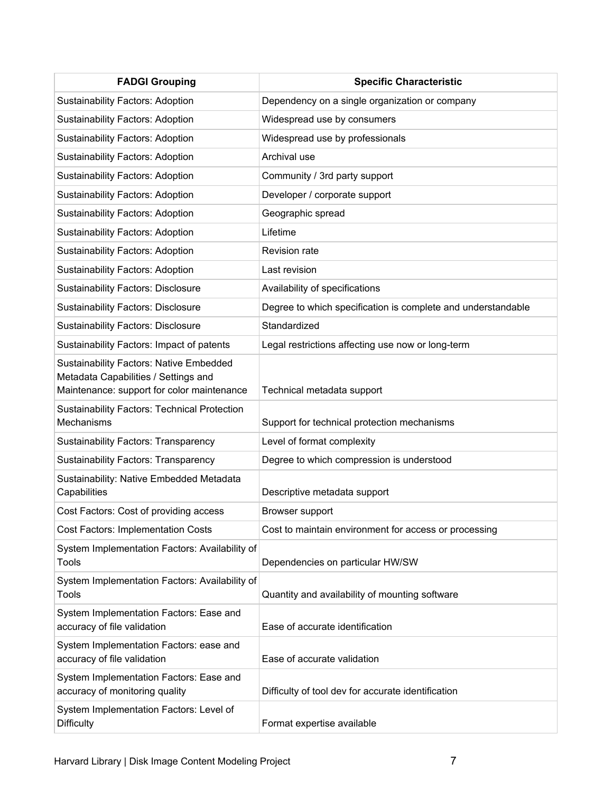| <b>FADGI Grouping</b>                                                                                                                | <b>Specific Characteristic</b>                               |
|--------------------------------------------------------------------------------------------------------------------------------------|--------------------------------------------------------------|
| <b>Sustainability Factors: Adoption</b>                                                                                              | Dependency on a single organization or company               |
| <b>Sustainability Factors: Adoption</b>                                                                                              | Widespread use by consumers                                  |
| <b>Sustainability Factors: Adoption</b>                                                                                              | Widespread use by professionals                              |
| <b>Sustainability Factors: Adoption</b>                                                                                              | Archival use                                                 |
| <b>Sustainability Factors: Adoption</b>                                                                                              | Community / 3rd party support                                |
| <b>Sustainability Factors: Adoption</b>                                                                                              | Developer / corporate support                                |
| <b>Sustainability Factors: Adoption</b>                                                                                              | Geographic spread                                            |
| <b>Sustainability Factors: Adoption</b>                                                                                              | Lifetime                                                     |
| <b>Sustainability Factors: Adoption</b>                                                                                              | <b>Revision rate</b>                                         |
| <b>Sustainability Factors: Adoption</b>                                                                                              | Last revision                                                |
| <b>Sustainability Factors: Disclosure</b>                                                                                            | Availability of specifications                               |
| <b>Sustainability Factors: Disclosure</b>                                                                                            | Degree to which specification is complete and understandable |
| <b>Sustainability Factors: Disclosure</b>                                                                                            | Standardized                                                 |
| Sustainability Factors: Impact of patents                                                                                            | Legal restrictions affecting use now or long-term            |
| <b>Sustainability Factors: Native Embedded</b><br>Metadata Capabilities / Settings and<br>Maintenance: support for color maintenance | Technical metadata support                                   |
| <b>Sustainability Factors: Technical Protection</b><br>Mechanisms                                                                    | Support for technical protection mechanisms                  |
| <b>Sustainability Factors: Transparency</b>                                                                                          | Level of format complexity                                   |
| <b>Sustainability Factors: Transparency</b>                                                                                          | Degree to which compression is understood                    |
| Sustainability: Native Embedded Metadata<br>Capabilities                                                                             | Descriptive metadata support                                 |
| Cost Factors: Cost of providing access                                                                                               | Browser support                                              |
| <b>Cost Factors: Implementation Costs</b>                                                                                            | Cost to maintain environment for access or processing        |
| System Implementation Factors: Availability of<br>Tools                                                                              | Dependencies on particular HW/SW                             |
| System Implementation Factors: Availability of<br>Tools                                                                              | Quantity and availability of mounting software               |
| System Implementation Factors: Ease and<br>accuracy of file validation                                                               | Ease of accurate identification                              |
| System Implementation Factors: ease and<br>accuracy of file validation                                                               | Ease of accurate validation                                  |
| System Implementation Factors: Ease and<br>accuracy of monitoring quality                                                            | Difficulty of tool dev for accurate identification           |
| System Implementation Factors: Level of<br><b>Difficulty</b>                                                                         | Format expertise available                                   |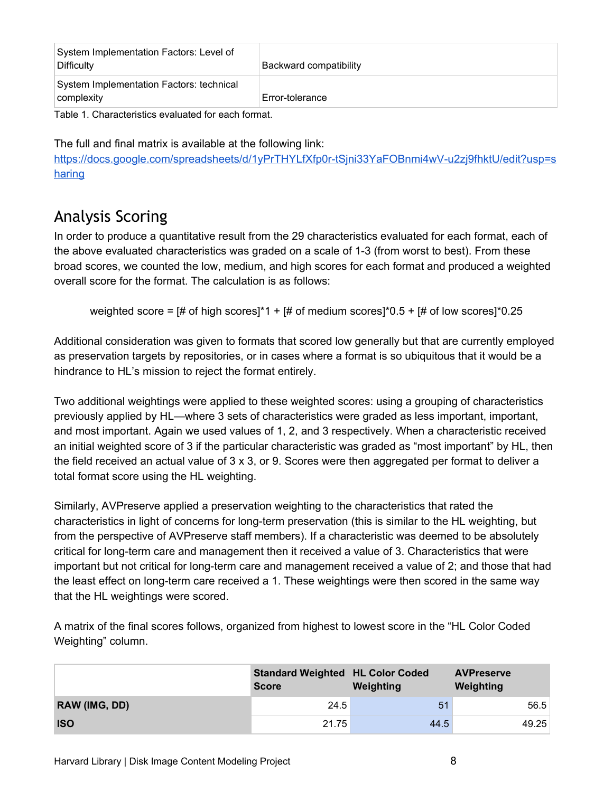| System Implementation Factors: Level of<br>Difficulty  | Backward compatibility |
|--------------------------------------------------------|------------------------|
| System Implementation Factors: technical<br>complexity | Error-tolerance        |

Table 1. Characteristics evaluated for each format.

The full and final matrix is available at the following link:

https://docs.google.com/spreadsheets/d/1yPrTHYLfXfp0r-tSjni33YaFOBnmi4wV-u2zj9fhktU/edit?usp=s [haring](https://docs.google.com/spreadsheets/d/1yPrTHYLfXfp0r-tSjni33YaFOBnmi4wV-u2zj9fhktU/edit?usp=sharing)

## <span id="page-7-0"></span>Analysis Scoring

In order to produce a quantitative result from the 29 characteristics evaluated for each format, each of the above evaluated characteristics was graded on a scale of 13 (from worst to best). From these broad scores, we counted the low, medium, and high scores for each format and produced a weighted overall score for the format. The calculation is as follows:

weighted score =  $[#$  of high scores]\*1 +  $[#$  of medium scores]\*0.5 +  $[#$  of low scores]\*0.25

Additional consideration was given to formats that scored low generally but that are currently employed as preservation targets by repositories, or in cases where a format is so ubiquitous that it would be a hindrance to HL's mission to reject the format entirely.

Two additional weightings were applied to these weighted scores: using a grouping of characteristics previously applied by HL—where 3 sets of characteristics were graded as less important, important, and most important. Again we used values of 1, 2, and 3 respectively. When a characteristic received an initial weighted score of 3 if the particular characteristic was graded as "most important" by HL, then the field received an actual value of 3 x 3, or 9. Scores were then aggregated per format to deliver a total format score using the HL weighting.

Similarly, AVPreserve applied a preservation weighting to the characteristics that rated the characteristics in light of concerns for long-term preservation (this is similar to the HL weighting, but from the perspective of AVPreserve staff members). If a characteristic was deemed to be absolutely critical for long-term care and management then it received a value of 3. Characteristics that were important but not critical for long-term care and management received a value of 2; and those that had the least effect on long-term care received a 1. These weightings were then scored in the same way that the HL weightings were scored.

A matrix of the final scores follows, organized from highest to lowest score in the "HL Color Coded Weighting" column.

|               | <b>Standard Weighted HL Color Coded</b><br><b>Score</b> | Weighting | <b>AVPreserve</b><br>Weighting |
|---------------|---------------------------------------------------------|-----------|--------------------------------|
| RAW (IMG, DD) | 24.5                                                    | 51        | 56.5                           |
| <b>ISO</b>    | 21.75                                                   | 44.5      | 49.25                          |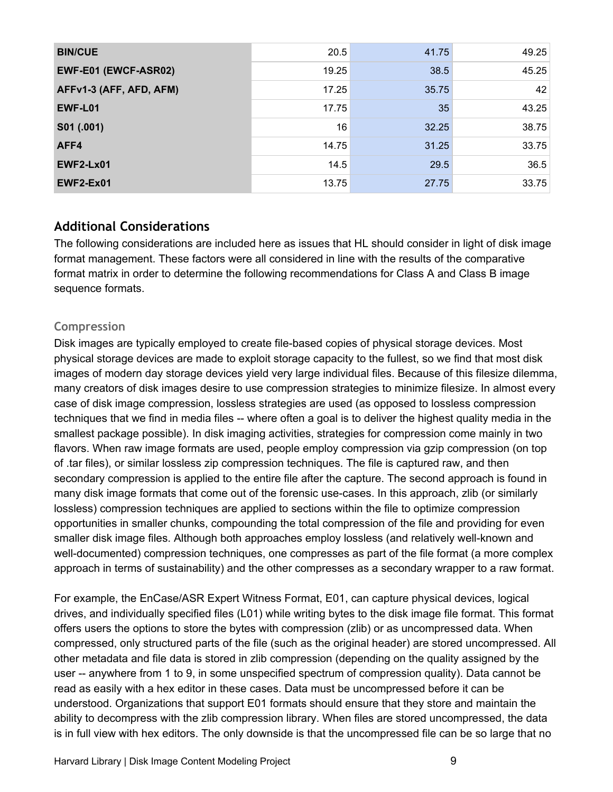| <b>BIN/CUE</b>          | 20.5  | 41.75 | 49.25 |
|-------------------------|-------|-------|-------|
| EWF-E01 (EWCF-ASR02)    | 19.25 | 38.5  | 45.25 |
| AFFv1-3 (AFF, AFD, AFM) | 17.25 | 35.75 | 42    |
| EWF-L01                 | 17.75 | 35    | 43.25 |
| S01 (.001)              | 16    | 32.25 | 38.75 |
| AFF4                    | 14.75 | 31.25 | 33.75 |
| <b>EWF2-Lx01</b>        | 14.5  | 29.5  | 36.5  |
| EWF2-Ex01               | 13.75 | 27.75 | 33.75 |

### <span id="page-8-0"></span>**Additional Considerations**

The following considerations are included here as issues that HL should consider in light of disk image format management. These factors were all considered in line with the results of the comparative format matrix in order to determine the following recommendations for Class A and Class B image sequence formats.

#### <span id="page-8-1"></span>**Compression**

Disk images are typically employed to create file-based copies of physical storage devices. Most physical storage devices are made to exploit storage capacity to the fullest, so we find that most disk images of modern day storage devices yield very large individual files. Because of this filesize dilemma, many creators of disk images desire to use compression strategies to minimize filesize. In almost every case of disk image compression, lossless strategies are used (as opposed to lossless compression techniques that we find in media files where often a goal is to deliver the highest quality media in the smallest package possible). In disk imaging activities, strategies for compression come mainly in two flavors. When raw image formats are used, people employ compression via gzip compression (on top of .tar files), or similar lossless zip compression techniques. The file is captured raw, and then secondary compression is applied to the entire file after the capture. The second approach is found in many disk image formats that come out of the forensic use-cases. In this approach, zlib (or similarly lossless) compression techniques are applied to sections within the file to optimize compression opportunities in smaller chunks, compounding the total compression of the file and providing for even smaller disk image files. Although both approaches employ lossless (and relatively well-known and well-documented) compression techniques, one compresses as part of the file format (a more complex approach in terms of sustainability) and the other compresses as a secondary wrapper to a raw format.

For example, the EnCase/ASR Expert Witness Format, E01, can capture physical devices, logical drives, and individually specified files (L01) while writing bytes to the disk image file format. This format offers users the options to store the bytes with compression (zlib) or as uncompressed data. When compressed, only structured parts of the file (such as the original header) are stored uncompressed. All other metadata and file data is stored in zlib compression (depending on the quality assigned by the user -- anywhere from 1 to 9, in some unspecified spectrum of compression quality). Data cannot be read as easily with a hex editor in these cases. Data must be uncompressed before it can be understood. Organizations that support E01 formats should ensure that they store and maintain the ability to decompress with the zlib compression library. When files are stored uncompressed, the data is in full view with hex editors. The only downside is that the uncompressed file can be so large that no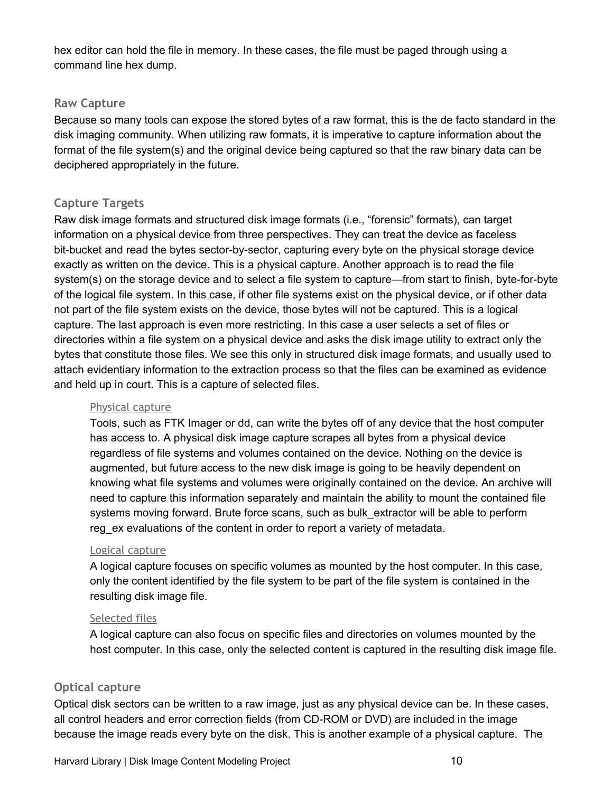hex editor can hold the file in memory. In these cases, the file must be paged through using a command line hex dump.

#### <span id="page-9-0"></span>**Raw Capture**

Because so many tools can expose the stored bytes of a raw format, this is the de facto standard in the disk imaging community. When utilizing raw formats, it is imperative to capture information about the format of the file system(s) and the original device being captured so that the raw binary data can be deciphered appropriately in the future.

#### <span id="page-9-1"></span>**Capture Targets**

Raw disk image formats and structured disk image formats (i.e., "forensic" formats), can target information on a physical device from three perspectives. They can treat the device as faceless bit-bucket and read the bytes sector-by-sector, capturing every byte on the physical storage device exactly as written on the device. This is a physical capture. Another approach is to read the file system(s) on the storage device and to select a file system to capture—from start to finish, byte-for-byte of the logical file system. In this case, if other file systems exist on the physical device, or if other data not part of the file system exists on the device, those bytes will not be captured. This is a logical capture. The last approach is even more restricting. In this case a user selects a set of files or directories within a file system on a physical device and asks the disk image utility to extract only the bytes that constitute those files. We see this only in structured disk image formats, and usually used to attach evidentiary information to the extraction process so that the files can be examined as evidence and held up in court. This is a capture of selected files.

#### <span id="page-9-2"></span>Physical capture

Tools, such as FTK Imager or dd, can write the bytes off of any device that the host computer has access to. A physical disk image capture scrapes all bytes from a physical device regardless of file systems and volumes contained on the device. Nothing on the device is augmented, but future access to the new disk image is going to be heavily dependent on knowing what file systems and volumes were originally contained on the device. An archive will need to capture this information separately and maintain the ability to mount the contained file systems moving forward. Brute force scans, such as bulk extractor will be able to perform reg\_ex evaluations of the content in order to report a variety of metadata.

#### <span id="page-9-3"></span>Logical capture

A logical capture focuses on specific volumes as mounted by the host computer. In this case, only the content identified by the file system to be part of the file system is contained in the resulting disk image file.

#### <span id="page-9-4"></span>Selected files

A logical capture can also focus on specific files and directories on volumes mounted by the host computer. In this case, only the selected content is captured in the resulting disk image file.

#### <span id="page-9-5"></span>**Optical capture**

Optical disk sectors can be written to a raw image, just as any physical device can be. In these cases, all control headers and error correction fields (from CD-ROM or DVD) are included in the image because the image reads every byte on the disk. This is another example of a physical capture. The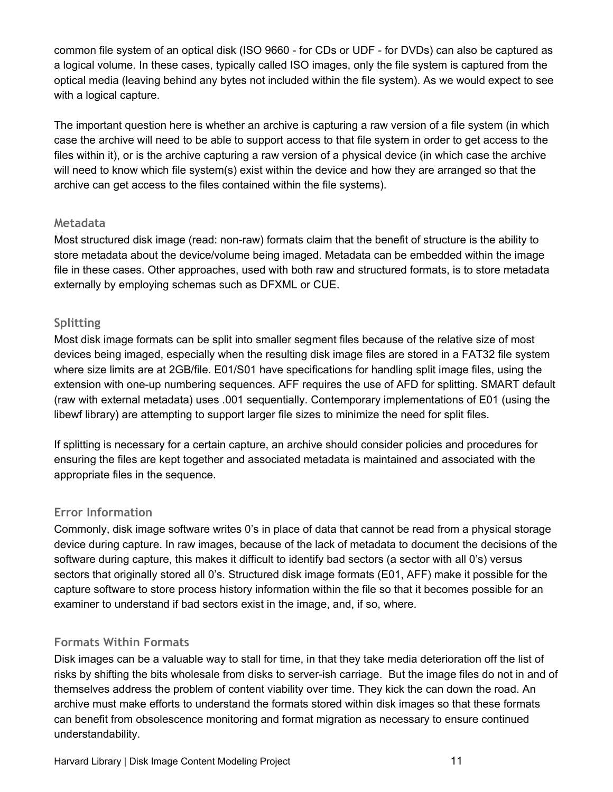common file system of an optical disk (ISO 9660 - for CDs or UDF - for DVDs) can also be captured as a logical volume. In these cases, typically called ISO images, only the file system is captured from the optical media (leaving behind any bytes not included within the file system). As we would expect to see with a logical capture.

The important question here is whether an archive is capturing a raw version of a file system (in which case the archive will need to be able to support access to that file system in order to get access to the files within it), or is the archive capturing a raw version of a physical device (in which case the archive will need to know which file system(s) exist within the device and how they are arranged so that the archive can get access to the files contained within the file systems).

#### <span id="page-10-0"></span>**Metadata**

Most structured disk image (read: non-raw) formats claim that the benefit of structure is the ability to store metadata about the device/volume being imaged. Metadata can be embedded within the image file in these cases. Other approaches, used with both raw and structured formats, is to store metadata externally by employing schemas such as DFXML or CUE.

### <span id="page-10-1"></span>**Splitting**

Most disk image formats can be split into smaller segment files because of the relative size of most devices being imaged, especially when the resulting disk image files are stored in a FAT32 file system where size limits are at 2GB/file. E01/S01 have specifications for handling split image files, using the extension with one-up numbering sequences. AFF requires the use of AFD for splitting. SMART default (raw with external metadata) uses .001 sequentially. Contemporary implementations of E01 (using the libewf library) are attempting to support larger file sizes to minimize the need for split files.

If splitting is necessary for a certain capture, an archive should consider policies and procedures for ensuring the files are kept together and associated metadata is maintained and associated with the appropriate files in the sequence.

### <span id="page-10-2"></span>**Error Information**

Commonly, disk image software writes 0's in place of data that cannot be read from a physical storage device during capture. In raw images, because of the lack of metadata to document the decisions of the software during capture, this makes it difficult to identify bad sectors (a sector with all 0's) versus sectors that originally stored all 0's. Structured disk image formats (E01, AFF) make it possible for the capture software to store process history information within the file so that it becomes possible for an examiner to understand if bad sectors exist in the image, and, if so, where.

### <span id="page-10-3"></span>**Formats Within Formats**

Disk images can be a valuable way to stall for time, in that they take media deterioration off the list of risks by shifting the bits wholesale from disks to server-ish carriage. But the image files do not in and of themselves address the problem of content viability over time. They kick the can down the road. An archive must make efforts to understand the formats stored within disk images so that these formats can benefit from obsolescence monitoring and format migration as necessary to ensure continued understandability.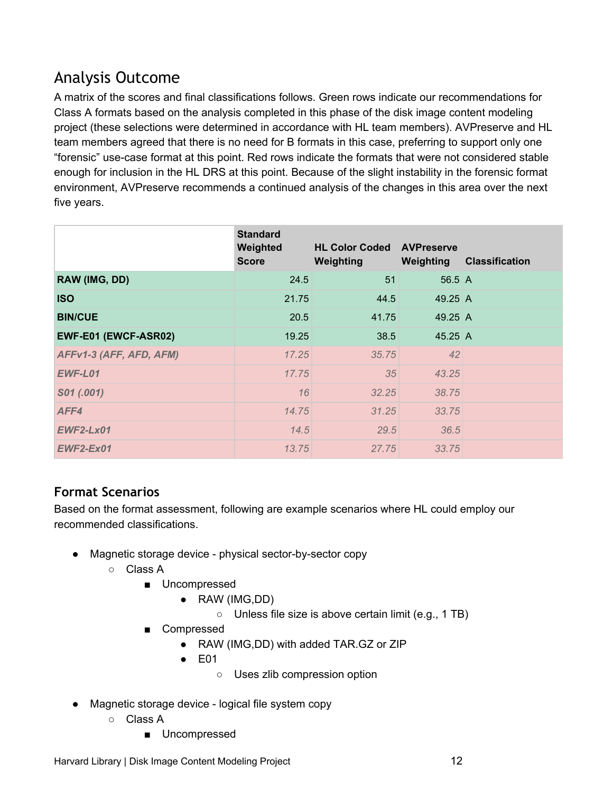## <span id="page-11-0"></span>Analysis Outcome

A matrix of the scores and final classifications follows. Green rows indicate our recommendations for Class A formats based on the analysis completed in this phase of the disk image content modeling project (these selections were determined in accordance with HL team members). AVPreserve and HL team members agreed that there is no need for B formats in this case, preferring to support only one "forensic" use-case format at this point. Red rows indicate the formats that were not considered stable enough for inclusion in the HL DRS at this point. Because of the slight instability in the forensic format environment, AVPreserve recommends a continued analysis of the changes in this area over the next five years.

|                         | <b>Standard</b><br>Weighted<br><b>Score</b> | <b>HL Color Coded AVPreserve</b><br>Weighting | Weighting           | <b>Classification</b> |
|-------------------------|---------------------------------------------|-----------------------------------------------|---------------------|-----------------------|
| RAW (IMG, DD)           | 24.5                                        | 51                                            | $56.5 \, \text{A}$  |                       |
| <b>ISO</b>              | 21.75                                       | 44.5                                          | 49.25 $A$           |                       |
| <b>BIN/CUE</b>          | 20.5                                        | 41.75                                         | $49.25 \, \text{A}$ |                       |
| EWF-E01 (EWCF-ASR02)    | 19.25                                       | 38.5                                          | $45.25 \, \text{A}$ |                       |
| AFFv1-3 (AFF, AFD, AFM) | 17.25                                       | 35.75                                         | 42                  |                       |
| EWF-L01                 | 17.75                                       | 35                                            | 43.25               |                       |
| S01 (.001)              | 16                                          | 32.25                                         | 38.75               |                       |
| AFF4                    | 14.75                                       | 31.25                                         | 33.75               |                       |
| <b>EWF2-Lx01</b>        | 14.5                                        | 29.5                                          | 36.5                |                       |
| $EWF2-Ex01$             | 13.75                                       | 27.75                                         | 33.75               |                       |

### <span id="page-11-1"></span>**Format Scenarios**

Based on the format assessment, following are example scenarios where HL could employ our recommended classifications.

- Magnetic storage device physical sector-by-sector copy
	- Class A
		- Uncompressed
			- RAW (IMG,DD)
				- Unless file size is above certain limit (e.g., 1 TB)
		- Compressed
			- RAW (IMG,DD) with added TAR.GZ or ZIP
			- $\bullet$  E01
				- Uses zlib compression option
- Magnetic storage device logical file system copy
	- Class A
		- Uncompressed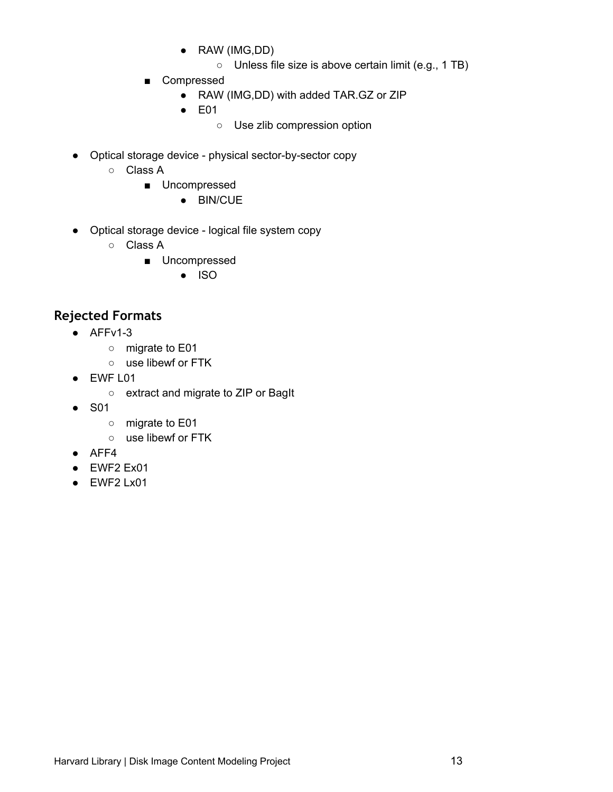- RAW (IMG,DD)
	- Unless file size is above certain limit (e.g., 1 TB)
- Compressed
	- RAW (IMG,DD) with added TAR.GZ or ZIP
	- E01
		- Use zlib compression option
- Optical storage device physical sector-by-sector copy
	- Class A
		- Uncompressed
			- BIN/CUE
- Optical storage device logical file system copy
	- Class A
		- Uncompressed
			- ISO

### <span id="page-12-0"></span>**Rejected Formats**

- $\bullet$  AFFv1-3
	- migrate to E01
	- use libewf or FTK
- EWF L01
	- extract and migrate to ZIP or BagIt
- S01
	- migrate to E01
	- use libewf or FTK
- AFF4
- EWF2 Ex01
- EWF2 Lx01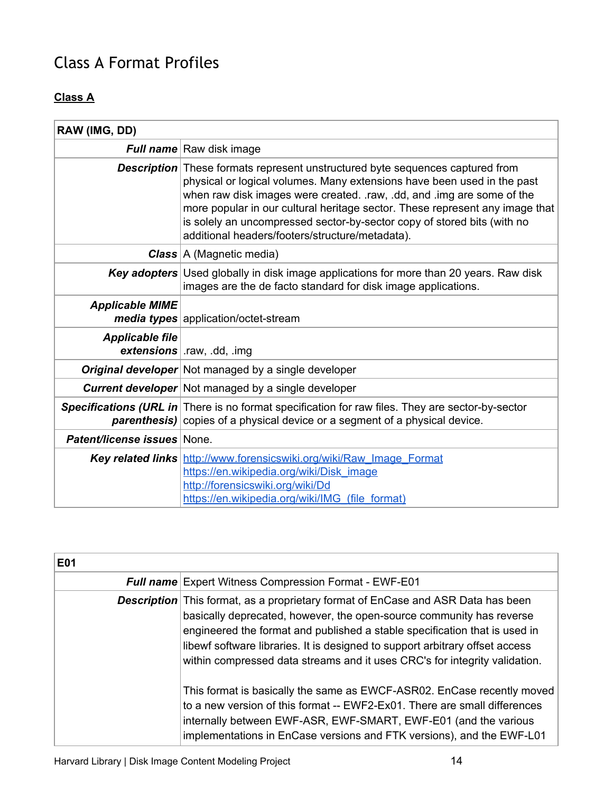## <span id="page-13-0"></span>Class A Format Profiles

## **Class A**

| RAW (IMG, DD)                      |                                                                                                                                                                                                                                                                                                                                                                                                                                                           |
|------------------------------------|-----------------------------------------------------------------------------------------------------------------------------------------------------------------------------------------------------------------------------------------------------------------------------------------------------------------------------------------------------------------------------------------------------------------------------------------------------------|
|                                    | Full name Raw disk image                                                                                                                                                                                                                                                                                                                                                                                                                                  |
|                                    | <b>Description</b> These formats represent unstructured byte sequences captured from<br>physical or logical volumes. Many extensions have been used in the past<br>when raw disk images were created. . raw, .dd, and . img are some of the<br>more popular in our cultural heritage sector. These represent any image that<br>is solely an uncompressed sector-by-sector copy of stored bits (with no<br>additional headers/footers/structure/metadata). |
|                                    | <b>Class</b> $A$ (Magnetic media)                                                                                                                                                                                                                                                                                                                                                                                                                         |
|                                    | <b>Key adopters</b> Used globally in disk image applications for more than 20 years. Raw disk<br>images are the de facto standard for disk image applications.                                                                                                                                                                                                                                                                                            |
| <b>Applicable MIME</b>             | media types application/octet-stream                                                                                                                                                                                                                                                                                                                                                                                                                      |
| <b>Applicable file</b>             | extensions   .raw, .dd, .img                                                                                                                                                                                                                                                                                                                                                                                                                              |
|                                    | <b>Original developer</b> Not managed by a single developer                                                                                                                                                                                                                                                                                                                                                                                               |
|                                    | <b>Current developer</b> Not managed by a single developer                                                                                                                                                                                                                                                                                                                                                                                                |
|                                    | <b>Specifications (URL in</b> There is no format specification for raw files. They are sector-by-sector<br>parenthesis) copies of a physical device or a segment of a physical device.                                                                                                                                                                                                                                                                    |
| <b>Patent/license issues None.</b> |                                                                                                                                                                                                                                                                                                                                                                                                                                                           |
|                                    | Key related links http://www.forensicswiki.org/wiki/Raw Image Format<br>https://en.wikipedia.org/wiki/Disk_image<br>http://forensicswiki.org/wiki/Dd<br>https://en.wikipedia.org/wiki/IMG (file format)                                                                                                                                                                                                                                                   |

| <b>E01</b> |                                                                                                                                                                                                                                                                                                                                                                                                             |
|------------|-------------------------------------------------------------------------------------------------------------------------------------------------------------------------------------------------------------------------------------------------------------------------------------------------------------------------------------------------------------------------------------------------------------|
|            | <b>Full name</b> Expert Witness Compression Format - EWF-E01                                                                                                                                                                                                                                                                                                                                                |
|            | <b>Description</b> This format, as a proprietary format of EnCase and ASR Data has been<br>basically deprecated, however, the open-source community has reverse<br>engineered the format and published a stable specification that is used in<br>libewf software libraries. It is designed to support arbitrary offset access<br>within compressed data streams and it uses CRC's for integrity validation. |
|            | This format is basically the same as EWCF-ASR02. EnCase recently moved<br>to a new version of this format -- EWF2-Ex01. There are small differences<br>internally between EWF-ASR, EWF-SMART, EWF-E01 (and the various<br>implementations in EnCase versions and FTK versions), and the EWF-L01                                                                                                             |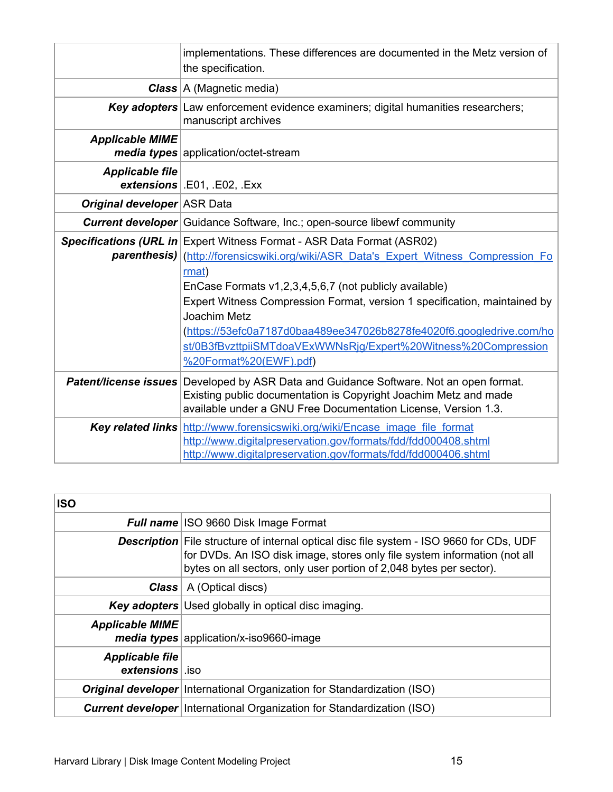|                                    | implementations. These differences are documented in the Metz version of<br>the specification.                                                                                                                                      |
|------------------------------------|-------------------------------------------------------------------------------------------------------------------------------------------------------------------------------------------------------------------------------------|
|                                    | <b>Class</b> $A$ (Magnetic media)                                                                                                                                                                                                   |
|                                    | <b>Key adopters</b> Law enforcement evidence examiners; digital humanities researchers;<br>manuscript archives                                                                                                                      |
| <b>Applicable MIME</b>             | <b>media types</b> application/octet-stream                                                                                                                                                                                         |
| <b>Applicable file</b>             | $extensions$ . E01, . E02, . Exx                                                                                                                                                                                                    |
| <b>Original developer ASR Data</b> |                                                                                                                                                                                                                                     |
|                                    | <b>Current developer</b> Guidance Software, Inc.; open-source libewf community                                                                                                                                                      |
|                                    | <b>Specifications (URL in Expert Witness Format - ASR Data Format (ASR02)</b><br>parenthesis) (http://forensicswiki.org/wiki/ASR_Data's_Expert_Witness_Compression_Fo                                                               |
|                                    | rmat)                                                                                                                                                                                                                               |
|                                    | EnCase Formats v1,2,3,4,5,6,7 (not publicly available)                                                                                                                                                                              |
|                                    | Expert Witness Compression Format, version 1 specification, maintained by                                                                                                                                                           |
|                                    | Joachim Metz                                                                                                                                                                                                                        |
|                                    | (https://53efc0a7187d0baa489ee347026b8278fe4020f6.googledrive.com/ho                                                                                                                                                                |
|                                    | st/0B3fBvzttpiiSMTdoaVExWWNsRjg/Expert%20Witness%20Compression                                                                                                                                                                      |
|                                    | %20Format%20(EWF).pdf)                                                                                                                                                                                                              |
|                                    | <b>Patent/license issues</b> Developed by ASR Data and Guidance Software. Not an open format.<br>Existing public documentation is Copyright Joachim Metz and made<br>available under a GNU Free Documentation License, Version 1.3. |
|                                    | <b>Key related links</b> http://www.forensicswiki.org/wiki/Encase image file format                                                                                                                                                 |
|                                    | http://www.digitalpreservation.gov/formats/fdd/fdd000408.shtml                                                                                                                                                                      |
|                                    | http://www.digitalpreservation.gov/formats/fdd/fdd000406.shtml                                                                                                                                                                      |

| <b>ISO</b>                                |                                                                                                                                                                                                                                                    |
|-------------------------------------------|----------------------------------------------------------------------------------------------------------------------------------------------------------------------------------------------------------------------------------------------------|
|                                           | Full name ISO 9660 Disk Image Format                                                                                                                                                                                                               |
|                                           | <b>Description</b> File structure of internal optical disc file system - ISO 9660 for CDs, UDF<br>for DVDs. An ISO disk image, stores only file system information (not all<br>bytes on all sectors, only user portion of 2,048 bytes per sector). |
|                                           | <b>Class</b>   A (Optical discs)                                                                                                                                                                                                                   |
|                                           | <b>Key adopters</b> Used globally in optical disc imaging.                                                                                                                                                                                         |
| <b>Applicable MIME</b>                    | media types application/x-iso9660-image                                                                                                                                                                                                            |
| <b>Applicable file</b><br>extensions sign |                                                                                                                                                                                                                                                    |
|                                           | <b>Original developer</b> International Organization for Standardization (ISO)                                                                                                                                                                     |
|                                           | <b>Current developer</b> International Organization for Standardization (ISO)                                                                                                                                                                      |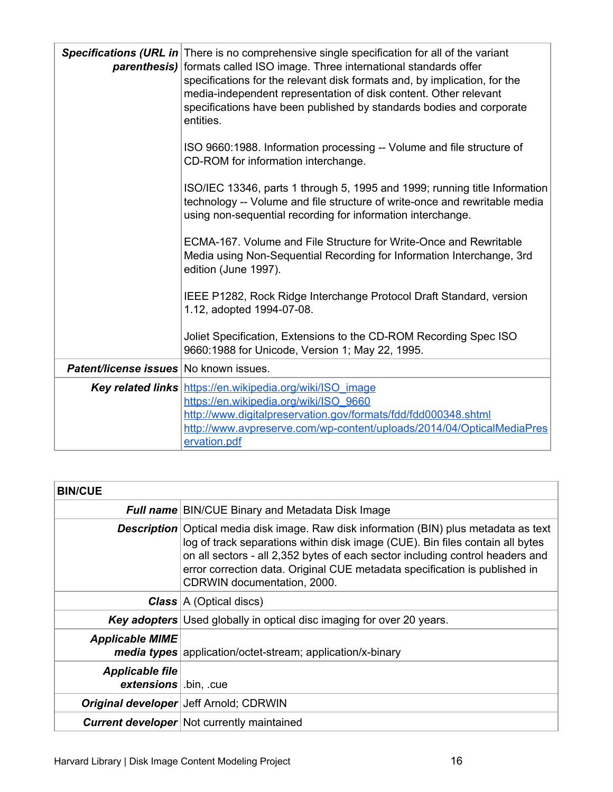|                                        | <b>Specifications (URL in</b> There is no comprehensive single specification for all of the variant<br>parenthesis) formats called ISO image. Three international standards offer<br>specifications for the relevant disk formats and, by implication, for the<br>media-independent representation of disk content. Other relevant<br>specifications have been published by standards bodies and corporate<br>entities. |
|----------------------------------------|-------------------------------------------------------------------------------------------------------------------------------------------------------------------------------------------------------------------------------------------------------------------------------------------------------------------------------------------------------------------------------------------------------------------------|
|                                        | ISO 9660:1988. Information processing -- Volume and file structure of<br>CD-ROM for information interchange.                                                                                                                                                                                                                                                                                                            |
|                                        | ISO/IEC 13346, parts 1 through 5, 1995 and 1999; running title Information<br>technology -- Volume and file structure of write-once and rewritable media<br>using non-sequential recording for information interchange.                                                                                                                                                                                                 |
|                                        | ECMA-167. Volume and File Structure for Write-Once and Rewritable<br>Media using Non-Sequential Recording for Information Interchange, 3rd<br>edition (June 1997).                                                                                                                                                                                                                                                      |
|                                        | IEEE P1282, Rock Ridge Interchange Protocol Draft Standard, version<br>1.12, adopted 1994-07-08.                                                                                                                                                                                                                                                                                                                        |
|                                        | Joliet Specification, Extensions to the CD-ROM Recording Spec ISO<br>9660:1988 for Unicode, Version 1; May 22, 1995.                                                                                                                                                                                                                                                                                                    |
| Patent/license issues No known issues. |                                                                                                                                                                                                                                                                                                                                                                                                                         |
|                                        | Key related links https://en.wikipedia.org/wiki/ISO image<br>https://en.wikipedia.org/wiki/ISO_9660<br>http://www.digitalpreservation.gov/formats/fdd/fdd000348.shtml<br>http://www.avpreserve.com/wp-content/uploads/2014/04/OpticalMediaPres                                                                                                                                                                          |
|                                        | ervation.pdf                                                                                                                                                                                                                                                                                                                                                                                                            |

| <b>BIN/CUE</b>                                  |                                                                                                                                                                                                                                                                                                                                                                              |
|-------------------------------------------------|------------------------------------------------------------------------------------------------------------------------------------------------------------------------------------------------------------------------------------------------------------------------------------------------------------------------------------------------------------------------------|
|                                                 | <b>Full name</b> BIN/CUE Binary and Metadata Disk Image                                                                                                                                                                                                                                                                                                                      |
|                                                 | <b>Description</b> Optical media disk image. Raw disk information (BIN) plus metadata as text<br>log of track separations within disk image (CUE). Bin files contain all bytes<br>on all sectors - all 2,352 bytes of each sector including control headers and<br>error correction data. Original CUE metadata specification is published in<br>CDRWIN documentation, 2000. |
|                                                 | <b>Class</b> $A$ (Optical discs)                                                                                                                                                                                                                                                                                                                                             |
|                                                 | <b>Key adopters</b> Used globally in optical disc imaging for over 20 years.                                                                                                                                                                                                                                                                                                 |
| <b>Applicable MIME</b>                          | <b>media types</b> application/octet-stream; application/x-binary                                                                                                                                                                                                                                                                                                            |
| <b>Applicable file</b><br>extensions   bin, cue |                                                                                                                                                                                                                                                                                                                                                                              |
|                                                 | <b>Original developer</b> Jeff Arnold; CDRWIN                                                                                                                                                                                                                                                                                                                                |
|                                                 | <b>Current developer</b> Not currently maintained                                                                                                                                                                                                                                                                                                                            |